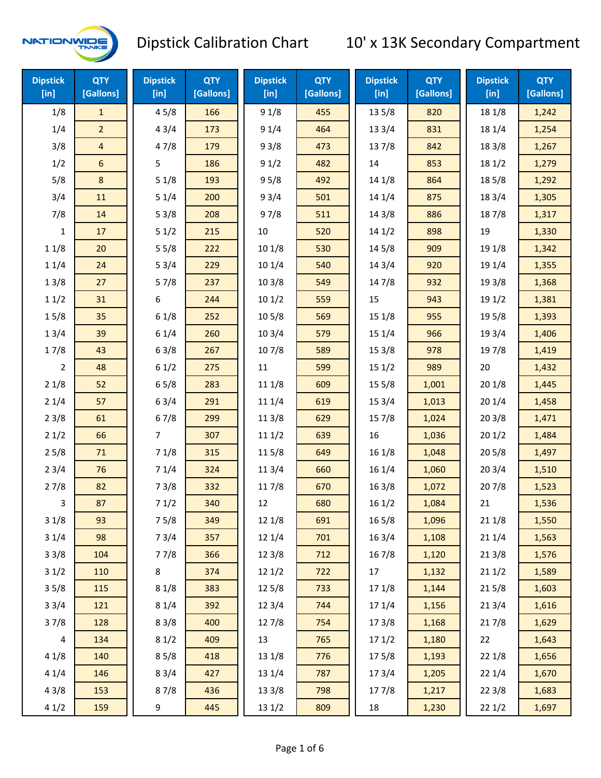

| <b>Dipstick</b><br>$[$ in] | <b>QTY</b><br>[Gallons] | <b>Dipstick</b><br>$[$ in] | <b>QTY</b><br>[Gallons] | <b>Dipstick</b><br>$[$ in] | <b>QTY</b><br>[Gallons] | <b>Dipstick</b><br>$[$ in] | <b>QTY</b><br>[Gallons] | <b>Dipstick</b><br>$[$ in] | <b>QTY</b><br>[Gallons] |
|----------------------------|-------------------------|----------------------------|-------------------------|----------------------------|-------------------------|----------------------------|-------------------------|----------------------------|-------------------------|
| 1/8                        | $\mathbf{1}$            | 45/8                       | 166                     | 91/8                       | 455                     | 135/8                      | 820                     | 18 1/8                     | 1,242                   |
| 1/4                        | $\overline{2}$          | 43/4                       | 173                     | 91/4                       | 464                     | 13 3/4                     | 831                     | 18 1/4                     | 1,254                   |
| 3/8                        | $\overline{a}$          | 47/8                       | 179                     | 93/8                       | 473                     | 137/8                      | 842                     | 18 3/8                     | 1,267                   |
| 1/2                        | 6                       | 5                          | 186                     | 91/2                       | 482                     | 14                         | 853                     | 18 1/2                     | 1,279                   |
| 5/8                        | 8                       | 51/8                       | 193                     | 95/8                       | 492                     | 14 1/8                     | 864                     | 185/8                      | 1,292                   |
| 3/4                        | 11                      | 51/4                       | 200                     | 93/4                       | 501                     | 14 1/4                     | 875                     | 18 3/4                     | 1,305                   |
| 7/8                        | 14                      | 53/8                       | 208                     | 97/8                       | 511                     | 14 3/8                     | 886                     | 187/8                      | 1,317                   |
| $\mathbf{1}$               | 17                      | 51/2                       | 215                     | $10\,$                     | 520                     | 141/2                      | 898                     | 19                         | 1,330                   |
| 11/8                       | 20                      | 55/8                       | 222                     | 101/8                      | 530                     | 145/8                      | 909                     | 19 1/8                     | 1,342                   |
| 11/4                       | 24                      | 53/4                       | 229                     | 10 1/4                     | 540                     | 14 3/4                     | 920                     | 19 1/4                     | 1,355                   |
| 13/8                       | 27                      | 57/8                       | 237                     | 103/8                      | 549                     | 147/8                      | 932                     | 19 3/8                     | 1,368                   |
| 11/2                       | 31                      | 6                          | 244                     | 101/2                      | 559                     | 15                         | 943                     | 19 1/2                     | 1,381                   |
| 15/8                       | 35                      | 61/8                       | 252                     | 10 <sub>5/8</sub>          | 569                     | 15 1/8                     | 955                     | 19 5/8                     | 1,393                   |
| 13/4                       | 39                      | 61/4                       | 260                     | 103/4                      | 579                     | 15 1/4                     | 966                     | 19 3/4                     | 1,406                   |
| 17/8                       | 43                      | 63/8                       | 267                     | 107/8                      | 589                     | 15 3/8                     | 978                     | 197/8                      | 1,419                   |
| $\overline{2}$             | 48                      | 61/2                       | 275                     | 11                         | 599                     | 151/2                      | 989                     | 20                         | 1,432                   |
| 21/8                       | 52                      | 65/8                       | 283                     | 11 1/8                     | 609                     | 15 5/8                     | 1,001                   | 201/8                      | 1,445                   |
| 21/4                       | 57                      | 63/4                       | 291                     | 11 1/4                     | 619                     | 153/4                      | 1,013                   | 201/4                      | 1,458                   |
| 23/8                       | 61                      | 67/8                       | 299                     | 11 3/8                     | 629                     | 15 7/8                     | 1,024                   | 203/8                      | 1,471                   |
| 21/2                       | 66                      | 7                          | 307                     | 111/2                      | 639                     | 16                         | 1,036                   | 201/2                      | 1,484                   |
| 25/8                       | 71                      | 71/8                       | 315                     | 115/8                      | 649                     | 16 1/8                     | 1,048                   | 205/8                      | 1,497                   |
| 23/4                       | 76                      | 71/4                       | 324                     | 11 3/4                     | 660                     | 16 1/4                     | 1,060                   | 203/4                      | 1,510                   |
| 27/8                       | 82                      | 73/8                       | 332                     | 117/8                      | 670                     | 163/8                      | 1,072                   | 207/8                      | 1,523                   |
| 3                          | 87                      | 71/2                       | 340                     | 12                         | 680                     | 161/2                      | 1,084                   | 21                         | 1,536                   |
| 31/8                       | 93                      | 75/8                       | 349                     | 12 1/8                     | 691                     | 165/8                      | 1,096                   | 211/8                      | 1,550                   |
| 31/4                       | 98                      | 73/4                       | 357                     | 12 1/4                     | 701                     | 16 3/4                     | 1,108                   | 211/4                      | 1,563                   |
| 33/8                       | 104                     | 77/8                       | 366                     | 12 3/8                     | 712                     | 16 7/8                     | 1,120                   | 213/8                      | 1,576                   |
| 31/2                       | 110                     | 8                          | 374                     | 12 1/2                     | 722                     | 17                         | 1,132                   | 211/2                      | 1,589                   |
| 35/8                       | 115                     | 81/8                       | 383                     | 125/8                      | 733                     | 17 1/8                     | 1,144                   | 215/8                      | 1,603                   |
| 33/4                       | 121                     | 81/4                       | 392                     | 123/4                      | 744                     | 17 1/4                     | 1,156                   | 213/4                      | 1,616                   |
| 37/8                       | 128                     | 83/8                       | 400                     | 12 7/8                     | 754                     | 173/8                      | 1,168                   | 217/8                      | 1,629                   |
| $\overline{4}$             | 134                     | 81/2                       | 409                     | 13                         | 765                     | 171/2                      | 1,180                   | 22                         | 1,643                   |
| 41/8                       | 140                     | 85/8                       | 418                     | 13 1/8                     | 776                     | 175/8                      | 1,193                   | 221/8                      | 1,656                   |
| 41/4                       | 146                     | 83/4                       | 427                     | 13 1/4                     | 787                     | 17 3/4                     | 1,205                   | 221/4                      | 1,670                   |
| 43/8                       | 153                     | 87/8                       | 436                     | 13 3/8                     | 798                     | 177/8                      | 1,217                   | 223/8                      | 1,683                   |
| 41/2                       | 159                     | 9                          | 445                     | 13 1/2                     | 809                     | 18                         | 1,230                   | 221/2                      | 1,697                   |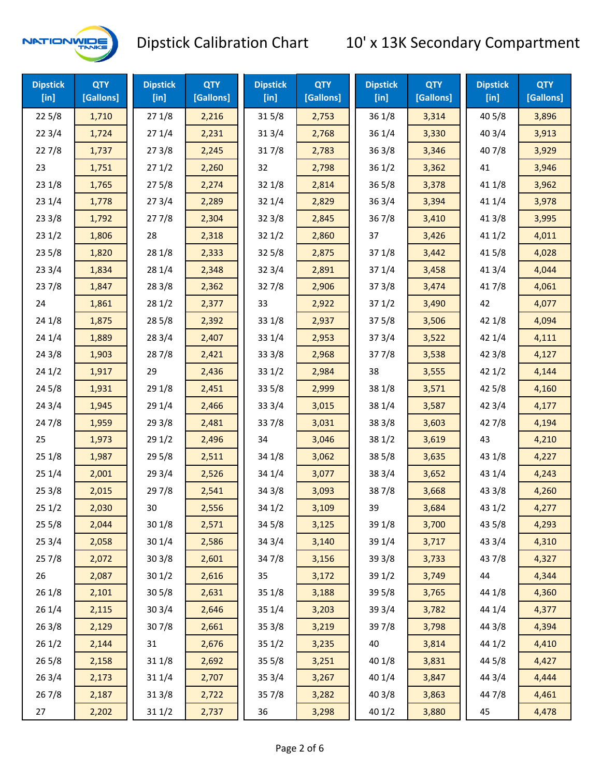

| <b>Dipstick</b><br>$[$ in] | <b>QTY</b><br>[Gallons] | <b>Dipstick</b><br>$[$ in] | <b>QTY</b><br>[Gallons] | <b>Dipstick</b><br>$[$ in] | <b>QTY</b><br>[Gallons] | <b>Dipstick</b><br>$[$ in] | <b>QTY</b><br>[Gallons] | <b>Dipstick</b><br>$[$ in] | <b>QTY</b><br>[Gallons] |
|----------------------------|-------------------------|----------------------------|-------------------------|----------------------------|-------------------------|----------------------------|-------------------------|----------------------------|-------------------------|
| 225/8                      | 1,710                   | 271/8                      | 2,216                   | 315/8                      | 2,753                   | 36 1/8                     | 3,314                   | 40 5/8                     | 3,896                   |
| 223/4                      | 1,724                   | 271/4                      | 2,231                   | 31 3/4                     | 2,768                   | 36 1/4                     | 3,330                   | 403/4                      | 3,913                   |
| 227/8                      | 1,737                   | 273/8                      | 2,245                   | 317/8                      | 2,783                   | 363/8                      | 3,346                   | 407/8                      | 3,929                   |
| 23                         | 1,751                   | 271/2                      | 2,260                   | 32                         | 2,798                   | 361/2                      | 3,362                   | 41                         | 3,946                   |
| 231/8                      | 1,765                   | 275/8                      | 2,274                   | 32 1/8                     | 2,814                   | 365/8                      | 3,378                   | 41 1/8                     | 3,962                   |
| 231/4                      | 1,778                   | 273/4                      | 2,289                   | 32 1/4                     | 2,829                   | 363/4                      | 3,394                   | 41 1/4                     | 3,978                   |
| 233/8                      | 1,792                   | 277/8                      | 2,304                   | 32 3/8                     | 2,845                   | 367/8                      | 3,410                   | 41 3/8                     | 3,995                   |
| 231/2                      | 1,806                   | 28                         | 2,318                   | 321/2                      | 2,860                   | 37                         | 3,426                   | 411/2                      | 4,011                   |
| 235/8                      | 1,820                   | 28 1/8                     | 2,333                   | 325/8                      | 2,875                   | 37 1/8                     | 3,442                   | 41 5/8                     | 4,028                   |
| 233/4                      | 1,834                   | 28 1/4                     | 2,348                   | 32 3/4                     | 2,891                   | 37 1/4                     | 3,458                   | 41 3/4                     | 4,044                   |
| 237/8                      | 1,847                   | 28 3/8                     | 2,362                   | 327/8                      | 2,906                   | 373/8                      | 3,474                   | 417/8                      | 4,061                   |
| 24                         | 1,861                   | 281/2                      | 2,377                   | 33                         | 2,922                   | 371/2                      | 3,490                   | 42                         | 4,077                   |
| 24 1/8                     | 1,875                   | 28 5/8                     | 2,392                   | 33 1/8                     | 2,937                   | 375/8                      | 3,506                   | 42 1/8                     | 4,094                   |
| 241/4                      | 1,889                   | 28 3/4                     | 2,407                   | 33 1/4                     | 2,953                   | 373/4                      | 3,522                   | 42 1/4                     | 4,111                   |
| 243/8                      | 1,903                   | 287/8                      | 2,421                   | 33 3/8                     | 2,968                   | 377/8                      | 3,538                   | 42 3/8                     | 4,127                   |
| 241/2                      | 1,917                   | 29                         | 2,436                   | 33 1/2                     | 2,984                   | 38                         | 3,555                   | 421/2                      | 4,144                   |
| 245/8                      | 1,931                   | 29 1/8                     | 2,451                   | 33 5/8                     | 2,999                   | 38 1/8                     | 3,571                   | 42 5/8                     | 4,160                   |
| 243/4                      | 1,945                   | 29 1/4                     | 2,466                   | 33 3/4                     | 3,015                   | 38 1/4                     | 3,587                   | 42 3/4                     | 4,177                   |
| 24 7/8                     | 1,959                   | 29 3/8                     | 2,481                   | 337/8                      | 3,031                   | 38 3/8                     | 3,603                   | 427/8                      | 4,194                   |
| 25                         | 1,973                   | 29 1/2                     | 2,496                   | 34                         | 3,046                   | 38 1/2                     | 3,619                   | 43                         | 4,210                   |
| 251/8                      | 1,987                   | 29 5/8                     | 2,511                   | 34 1/8                     | 3,062                   | 38 5/8                     | 3,635                   | 43 1/8                     | 4,227                   |
| 251/4                      | 2,001                   | 29 3/4                     | 2,526                   | 34 1/4                     | 3,077                   | 38 3/4                     | 3,652                   | 43 1/4                     | 4,243                   |
| 253/8                      | 2,015                   | 297/8                      | 2,541                   | 34 3/8                     | 3,093                   | 387/8                      | 3,668                   | 43 3/8                     | 4,260                   |
| 251/2                      | 2,030                   | 30                         | 2,556                   | 34 1/2                     | 3,109                   | 39                         | 3,684                   | 43 1/2                     | 4,277                   |
| 255/8                      | 2,044                   | 301/8                      | 2,571                   | 34 5/8                     | 3,125                   | 39 1/8                     | 3,700                   | 43 5/8                     | 4,293                   |
| 253/4                      | 2,058                   | 30 1/4                     | 2,586                   | 34 3/4                     | 3,140                   | 39 1/4                     | 3,717                   | 43 3/4                     | 4,310                   |
| 257/8                      | 2,072                   | 303/8                      | 2,601                   | 347/8                      | 3,156                   | 39 3/8                     | 3,733                   | 437/8                      | 4,327                   |
| 26                         | 2,087                   | 301/2                      | 2,616                   | 35                         | 3,172                   | 39 1/2                     | 3,749                   | 44                         | 4,344                   |
| 26 1/8                     | 2,101                   | 305/8                      | 2,631                   | 35 1/8                     | 3,188                   | 39 5/8                     | 3,765                   | 44 1/8                     | 4,360                   |
| 261/4                      | 2,115                   | 30 3/4                     | 2,646                   | 35 1/4                     | 3,203                   | 39 3/4                     | 3,782                   | 44 1/4                     | 4,377                   |
| 263/8                      | 2,129                   | 307/8                      | 2,661                   | 35 3/8                     | 3,219                   | 39 7/8                     | 3,798                   | 44 3/8                     | 4,394                   |
| 261/2                      | 2,144                   | 31                         | 2,676                   | 35 1/2                     | 3,235                   | 40                         | 3,814                   | 44 1/2                     | 4,410                   |
| 265/8                      | 2,158                   | 31 1/8                     | 2,692                   | 35 5/8                     | 3,251                   | 40 1/8                     | 3,831                   | 44 5/8                     | 4,427                   |
| 263/4                      | 2,173                   | 31 1/4                     | 2,707                   | 35 3/4                     | 3,267                   | 40 1/4                     | 3,847                   | 44 3/4                     | 4,444                   |
| 267/8                      | 2,187                   | 31 3/8                     | 2,722                   | 357/8                      | 3,282                   | 40 3/8                     | 3,863                   | 447/8                      | 4,461                   |
| 27                         | 2,202                   | 31 1/2                     | 2,737                   | 36                         | 3,298                   | 40 1/2                     | 3,880                   | 45                         | 4,478                   |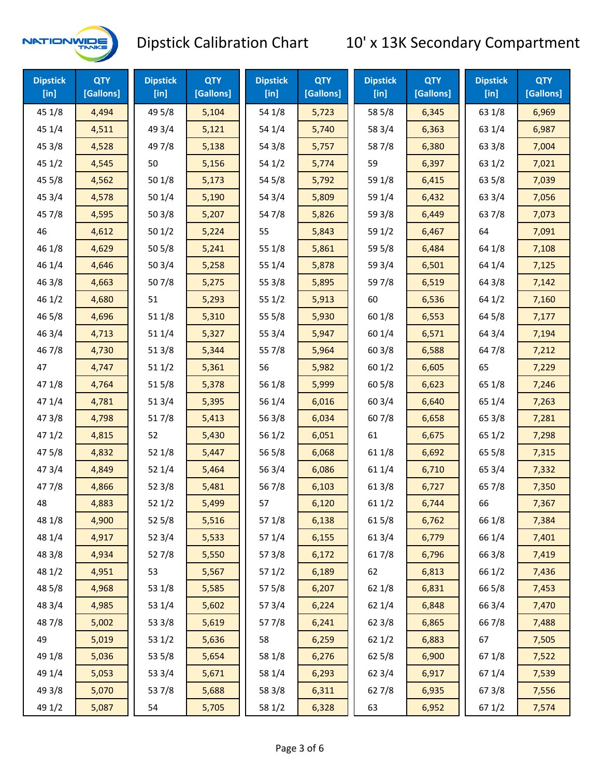

| <b>Dipstick</b><br>$[$ in] | <b>QTY</b><br>[Gallons] | <b>Dipstick</b><br>$[$ in] | <b>QTY</b><br>[Gallons] | <b>Dipstick</b><br>$[$ in] | <b>QTY</b><br>[Gallons] | <b>Dipstick</b><br>$[$ in] | <b>QTY</b><br>[Gallons] | <b>Dipstick</b><br>$[$ in] | <b>QTY</b><br>[Gallons] |
|----------------------------|-------------------------|----------------------------|-------------------------|----------------------------|-------------------------|----------------------------|-------------------------|----------------------------|-------------------------|
| 45 1/8                     | 4,494                   | 49 5/8                     | 5,104                   | 54 1/8                     | 5,723                   | 58 5/8                     | 6,345                   | 63 1/8                     | 6,969                   |
| 45 1/4                     | 4,511                   | 49 3/4                     | 5,121                   | 54 1/4                     | 5,740                   | 58 3/4                     | 6,363                   | 63 1/4                     | 6,987                   |
| 45 3/8                     | 4,528                   | 49 7/8                     | 5,138                   | 54 3/8                     | 5,757                   | 587/8                      | 6,380                   | 63 3/8                     | 7,004                   |
| 45 1/2                     | 4,545                   | 50                         | 5,156                   | 54 1/2                     | 5,774                   | 59                         | 6,397                   | 63 1/2                     | 7,021                   |
| 45 5/8                     | 4,562                   | 50 1/8                     | 5,173                   | 54 5/8                     | 5,792                   | 59 1/8                     | 6,415                   | 63 5/8                     | 7,039                   |
| 45 3/4                     | 4,578                   | 50 1/4                     | 5,190                   | 54 3/4                     | 5,809                   | 59 1/4                     | 6,432                   | 63 3/4                     | 7,056                   |
| 45 7/8                     | 4,595                   | 503/8                      | 5,207                   | 54 7/8                     | 5,826                   | 59 3/8                     | 6,449                   | 637/8                      | 7,073                   |
| 46                         | 4,612                   | 501/2                      | 5,224                   | 55                         | 5,843                   | 59 1/2                     | 6,467                   | 64                         | 7,091                   |
| 46 1/8                     | 4,629                   | 505/8                      | 5,241                   | 55 1/8                     | 5,861                   | 59 5/8                     | 6,484                   | 64 1/8                     | 7,108                   |
| 46 1/4                     | 4,646                   | 503/4                      | 5,258                   | 55 1/4                     | 5,878                   | 59 3/4                     | 6,501                   | 64 1/4                     | 7,125                   |
| 46 3/8                     | 4,663                   | 507/8                      | 5,275                   | 55 3/8                     | 5,895                   | 597/8                      | 6,519                   | 64 3/8                     | 7,142                   |
| 46 1/2                     | 4,680                   | 51                         | 5,293                   | 551/2                      | 5,913                   | 60                         | 6,536                   | 64 1/2                     | 7,160                   |
| 46 5/8                     | 4,696                   | 51 1/8                     | 5,310                   | 55 5/8                     | 5,930                   | 60 1/8                     | 6,553                   | 64 5/8                     | 7,177                   |
| 46 3/4                     | 4,713                   | 51 1/4                     | 5,327                   | 55 3/4                     | 5,947                   | 60 1/4                     | 6,571                   | 64 3/4                     | 7,194                   |
| 46 7/8                     | 4,730                   | 513/8                      | 5,344                   | 55 7/8                     | 5,964                   | 60 3/8                     | 6,588                   | 64 7/8                     | 7,212                   |
| 47                         | 4,747                   | 511/2                      | 5,361                   | 56                         | 5,982                   | 601/2                      | 6,605                   | 65                         | 7,229                   |
| 47 1/8                     | 4,764                   | 515/8                      | 5,378                   | 56 1/8                     | 5,999                   | 60 5/8                     | 6,623                   | 65 1/8                     | 7,246                   |
| 47 1/4                     | 4,781                   | 51 3/4                     | 5,395                   | 56 1/4                     | 6,016                   | 60 3/4                     | 6,640                   | 65 1/4                     | 7,263                   |
| 47 3/8                     | 4,798                   | 517/8                      | 5,413                   | 56 3/8                     | 6,034                   | 607/8                      | 6,658                   | 65 3/8                     | 7,281                   |
| 471/2                      | 4,815                   | 52                         | 5,430                   | 56 1/2                     | 6,051                   | 61                         | 6,675                   | 65 1/2                     | 7,298                   |
| 475/8                      | 4,832                   | 52 1/8                     | 5,447                   | 56 5/8                     | 6,068                   | 61 1/8                     | 6,692                   | 65 5/8                     | 7,315                   |
| 47 3/4                     | 4,849                   | 52 1/4                     | 5,464                   | 56 3/4                     | 6,086                   | 61 1/4                     | 6,710                   | 65 3/4                     | 7,332                   |
| 47 7/8                     | 4,866                   | 52 3/8                     | 5,481                   | 567/8                      | 6,103                   | 61 3/8                     | 6,727                   | 65 7/8                     | 7,350                   |
| 48                         | 4,883                   | 521/2                      | 5,499                   | 57                         | 6,120                   | 61 1/2                     | 6,744                   | 66                         | 7,367                   |
| 48 1/8                     | 4,900                   | 52 5/8                     | 5,516                   | 57 1/8                     | 6,138                   | 615/8                      | 6,762                   | 66 1/8                     | 7,384                   |
| 48 1/4                     | 4,917                   | 52 3/4                     | 5,533                   | 57 1/4                     | 6,155                   | 613/4                      | 6,779                   | 66 1/4                     | 7,401                   |
| 48 3/8                     | 4,934                   | 527/8                      | 5,550                   | 57 3/8                     | 6,172                   | 617/8                      | 6,796                   | 66 3/8                     | 7,419                   |
| 48 1/2                     | 4,951                   | 53                         | 5,567                   | 571/2                      | 6,189                   | 62                         | 6,813                   | 66 1/2                     | 7,436                   |
| 48 5/8                     | 4,968                   | 53 1/8                     | 5,585                   | 57 5/8                     | 6,207                   | 62 1/8                     | 6,831                   | 66 5/8                     | 7,453                   |
| 48 3/4                     | 4,985                   | 53 1/4                     | 5,602                   | 573/4                      | 6,224                   | 62 1/4                     | 6,848                   | 66 3/4                     | 7,470                   |
| 487/8                      | 5,002                   | 53 3/8                     | 5,619                   | 577/8                      | 6,241                   | 62 3/8                     | 6,865                   | 667/8                      | 7,488                   |
| 49                         | 5,019                   | 53 1/2                     | 5,636                   | 58                         | 6,259                   | 621/2                      | 6,883                   | 67                         | 7,505                   |
| 49 1/8                     | 5,036                   | 53 5/8                     | 5,654                   | 58 1/8                     | 6,276                   | 62 5/8                     | 6,900                   | 671/8                      | 7,522                   |
| 49 1/4                     | 5,053                   | 53 3/4                     | 5,671                   | 58 1/4                     | 6,293                   | 62 3/4                     | 6,917                   | 67 1/4                     | 7,539                   |
| 49 3/8                     | 5,070                   | 537/8                      | 5,688                   | 58 3/8                     | 6,311                   | 627/8                      | 6,935                   | 673/8                      | 7,556                   |
| 49 1/2                     | 5,087                   | 54                         | 5,705                   | 58 1/2                     | 6,328                   | 63                         | 6,952                   | 67 1/2                     | 7,574                   |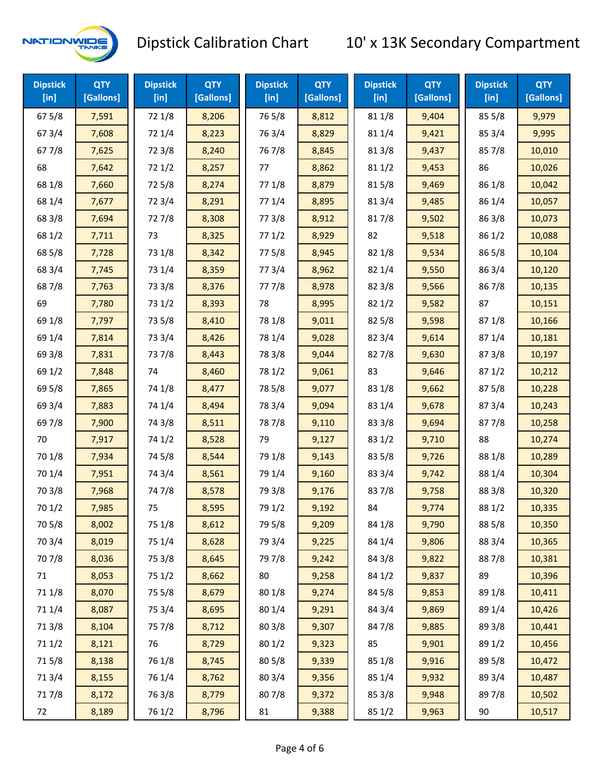

| <b>Dipstick</b><br>[in] | <b>QTY</b><br>[Gallons] | <b>Dipstick</b><br>$[$ in] | <b>QTY</b><br>[Gallons] | <b>Dipstick</b><br>$[$ in] | <b>QTY</b><br>[Gallons] | <b>Dipstick</b><br>$[$ in] | <b>QTY</b><br>[Gallons] | <b>Dipstick</b><br>$[$ in] | <b>QTY</b><br>[Gallons] |
|-------------------------|-------------------------|----------------------------|-------------------------|----------------------------|-------------------------|----------------------------|-------------------------|----------------------------|-------------------------|
| 67 5/8                  | 7,591                   | 72 1/8                     | 8,206                   | 765/8                      | 8,812                   | 81 1/8                     | 9,404                   | 85 5/8                     | 9,979                   |
| 67 3/4                  | 7,608                   | 72 1/4                     | 8,223                   | 763/4                      | 8,829                   | 81 1/4                     | 9,421                   | 85 3/4                     | 9,995                   |
| 67 7/8                  | 7,625                   | 72 3/8                     | 8,240                   | 767/8                      | 8,845                   | 81 3/8                     | 9,437                   | 857/8                      | 10,010                  |
| 68                      | 7,642                   | 72 1/2                     | 8,257                   | 77                         | 8,862                   | 81 1/2                     | 9,453                   | 86                         | 10,026                  |
| 68 1/8                  | 7,660                   | 725/8                      | 8,274                   | 77 1/8                     | 8,879                   | 815/8                      | 9,469                   | 86 1/8                     | 10,042                  |
| 68 1/4                  | 7,677                   | 72 3/4                     | 8,291                   | 77 1/4                     | 8,895                   | 813/4                      | 9,485                   | 86 1/4                     | 10,057                  |
| 68 3/8                  | 7,694                   | 727/8                      | 8,308                   | 77 3/8                     | 8,912                   | 817/8                      | 9,502                   | 86 3/8                     | 10,073                  |
| 68 1/2                  | 7,711                   | 73                         | 8,325                   | 771/2                      | 8,929                   | 82                         | 9,518                   | 86 1/2                     | 10,088                  |
| 68 5/8                  | 7,728                   | 73 1/8                     | 8,342                   | 775/8                      | 8,945                   | 82 1/8                     | 9,534                   | 865/8                      | 10,104                  |
| 68 3/4                  | 7,745                   | 73 1/4                     | 8,359                   | 773/4                      | 8,962                   | 82 1/4                     | 9,550                   | 86 3/4                     | 10,120                  |
| 687/8                   | 7,763                   | 73 3/8                     | 8,376                   | 777/8                      | 8,978                   | 82 3/8                     | 9,566                   | 867/8                      | 10,135                  |
| 69                      | 7,780                   | 73 1/2                     | 8,393                   | 78                         | 8,995                   | 821/2                      | 9,582                   | 87                         | 10,151                  |
| 69 1/8                  | 7,797                   | 73 5/8                     | 8,410                   | 78 1/8                     | 9,011                   | 825/8                      | 9,598                   | 871/8                      | 10,166                  |
| 69 1/4                  | 7,814                   | 73 3/4                     | 8,426                   | 78 1/4                     | 9,028                   | 82 3/4                     | 9,614                   | 871/4                      | 10,181                  |
| 69 3/8                  | 7,831                   | 737/8                      | 8,443                   | 78 3/8                     | 9,044                   | 827/8                      | 9,630                   | 87 3/8                     | 10,197                  |
| 69 1/2                  | 7,848                   | 74                         | 8,460                   | 78 1/2                     | 9,061                   | 83                         | 9,646                   | 871/2                      | 10,212                  |
| 69 5/8                  | 7,865                   | 74 1/8                     | 8,477                   | 78 5/8                     | 9,077                   | 83 1/8                     | 9,662                   | 87 5/8                     | 10,228                  |
| 69 3/4                  | 7,883                   | 74 1/4                     | 8,494                   | 78 3/4                     | 9,094                   | 83 1/4                     | 9,678                   | 87 3/4                     | 10,243                  |
| 69 7/8                  | 7,900                   | 74 3/8                     | 8,511                   | 787/8                      | 9,110                   | 83 3/8                     | 9,694                   | 877/8                      | 10,258                  |
| 70                      | 7,917                   | 74 1/2                     | 8,528                   | 79                         | 9,127                   | 83 1/2                     | 9,710                   | 88                         | 10,274                  |
| 70 1/8                  | 7,934                   | 74 5/8                     | 8,544                   | 79 1/8                     | 9,143                   | 83 5/8                     | 9,726                   | 88 1/8                     | 10,289                  |
| 70 1/4                  | 7,951                   | 74 3/4                     | 8,561                   | 79 1/4                     | 9,160                   | 83 3/4                     | 9,742                   | 88 1/4                     | 10,304                  |
| 70 3/8                  | 7,968                   | 747/8                      | 8,578                   | 79 3/8                     | 9,176                   | 837/8                      | 9,758                   | 88 3/8                     | 10,320                  |
| 70 1/2                  | 7,985                   | 75                         | 8,595                   | 79 1/2                     | 9,192                   | 84                         | 9,774                   | 88 1/2                     | 10,335                  |
| 70 5/8                  | 8,002                   | 75 1/8                     | 8,612                   | 79 5/8                     | 9,209                   | 84 1/8                     | 9,790                   | 88 5/8                     | 10,350                  |
| 70 3/4                  | 8,019                   | 75 1/4                     | 8,628                   | 79 3/4                     | 9,225                   | 84 1/4                     | 9,806                   | 88 3/4                     | 10,365                  |
| 70 7/8                  | 8,036                   | 75 3/8                     | 8,645                   | 79 7/8                     | 9,242                   | 84 3/8                     | 9,822                   | 887/8                      | 10,381                  |
| 71                      | 8,053                   | 75 1/2                     | 8,662                   | 80                         | 9,258                   | 84 1/2                     | 9,837                   | 89                         | 10,396                  |
| 71 1/8                  | 8,070                   | 75 5/8                     | 8,679                   | 80 1/8                     | 9,274                   | 845/8                      | 9,853                   | 89 1/8                     | 10,411                  |
| 71 1/4                  | 8,087                   | 75 3/4                     | 8,695                   | 80 1/4                     | 9,291                   | 84 3/4                     | 9,869                   | 89 1/4                     | 10,426                  |
| 713/8                   | 8,104                   | 75 7/8                     | 8,712                   | 80 3/8                     | 9,307                   | 847/8                      | 9,885                   | 89 3/8                     | 10,441                  |
| 71 1/2                  | 8,121                   | 76                         | 8,729                   | 80 1/2                     | 9,323                   | 85                         | 9,901                   | 89 1/2                     | 10,456                  |
| 715/8                   | 8,138                   | 76 1/8                     | 8,745                   | 80 5/8                     | 9,339                   | 85 1/8                     | 9,916                   | 89 5/8                     | 10,472                  |
| 713/4                   | 8,155                   | 76 1/4                     | 8,762                   | 80 3/4                     | 9,356                   | 85 1/4                     | 9,932                   | 89 3/4                     | 10,487                  |
| 717/8                   | 8,172                   | 763/8                      | 8,779                   | 807/8                      | 9,372                   | 85 3/8                     | 9,948                   | 897/8                      | 10,502                  |
| 72                      | 8,189                   | 76 1/2                     | 8,796                   | 81                         | 9,388                   | 85 1/2                     | 9,963                   | 90                         | 10,517                  |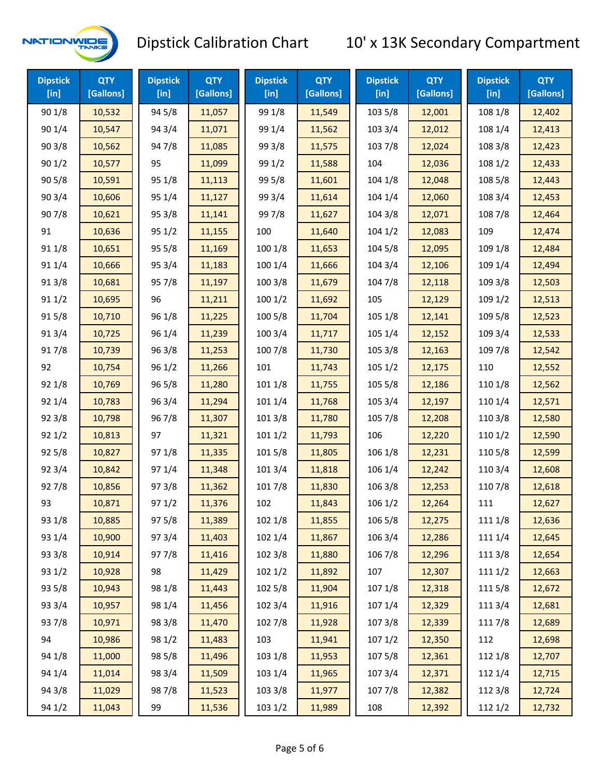

| <b>Dipstick</b><br>[ <sub>in</sub> ] | <b>QTY</b><br>[Gallons] | <b>Dipstick</b><br>[in] | <b>QTY</b><br>[Gallons] | <b>Dipstick</b><br>$[$ in] | <b>QTY</b><br>[Gallons] | <b>Dipstick</b><br>$[$ in] | <b>QTY</b><br>[Gallons] | <b>Dipstick</b><br>$[$ in] | <b>QTY</b><br>[Gallons] |
|--------------------------------------|-------------------------|-------------------------|-------------------------|----------------------------|-------------------------|----------------------------|-------------------------|----------------------------|-------------------------|
| 90 1/8                               | 10,532                  | 94 5/8                  | 11,057                  | 99 1/8                     | 11,549                  | 103 5/8                    | 12,001                  | 108 1/8                    | 12,402                  |
| 90 1/4                               | 10,547                  | 94 3/4                  | 11,071                  | 99 1/4                     | 11,562                  | 103 3/4                    | 12,012                  | 108 1/4                    | 12,413                  |
| 903/8                                | 10,562                  | 947/8                   | 11,085                  | 99 3/8                     | 11,575                  | 103 7/8                    | 12,024                  | 108 3/8                    | 12,423                  |
| 901/2                                | 10,577                  | 95                      | 11,099                  | 99 1/2                     | 11,588                  | 104                        | 12,036                  | 108 1/2                    | 12,433                  |
| 905/8                                | 10,591                  | 95 1/8                  | 11,113                  | 99 5/8                     | 11,601                  | 104 1/8                    | 12,048                  | 108 5/8                    | 12,443                  |
| 903/4                                | 10,606                  | 95 1/4                  | 11,127                  | 99 3/4                     | 11,614                  | 104 1/4                    | 12,060                  | 108 3/4                    | 12,453                  |
| 907/8                                | 10,621                  | 95 3/8                  | 11,141                  | 997/8                      | 11,627                  | 104 3/8                    | 12,071                  | 108 7/8                    | 12,464                  |
| 91                                   | 10,636                  | 95 1/2                  | 11,155                  | 100                        | 11,640                  | 1041/2                     | 12,083                  | 109                        | 12,474                  |
| 91 1/8                               | 10,651                  | 95 5/8                  | 11,169                  | 100 1/8                    | 11,653                  | 104 5/8                    | 12,095                  | 109 1/8                    | 12,484                  |
| 91 1/4                               | 10,666                  | 95 3/4                  | 11,183                  | 100 1/4                    | 11,666                  | 104 3/4                    | 12,106                  | 109 1/4                    | 12,494                  |
| 913/8                                | 10,681                  | 957/8                   | 11,197                  | 100 3/8                    | 11,679                  | 104 7/8                    | 12,118                  | 109 3/8                    | 12,503                  |
| 91 1/2                               | 10,695                  | 96                      | 11,211                  | 1001/2                     | 11,692                  | 105                        | 12,129                  | 109 1/2                    | 12,513                  |
| 915/8                                | 10,710                  | 96 1/8                  | 11,225                  | 100 5/8                    | 11,704                  | 105 1/8                    | 12,141                  | 109 5/8                    | 12,523                  |
| 913/4                                | 10,725                  | 96 1/4                  | 11,239                  | 100 3/4                    | 11,717                  | 105 1/4                    | 12,152                  | 109 3/4                    | 12,533                  |
| 917/8                                | 10,739                  | 96 3/8                  | 11,253                  | 100 7/8                    | 11,730                  | 105 3/8                    | 12,163                  | 109 7/8                    | 12,542                  |
| 92                                   | 10,754                  | 96 1/2                  | 11,266                  | 101                        | 11,743                  | 1051/2                     | 12,175                  | 110                        | 12,552                  |
| 92 1/8                               | 10,769                  | 96 5/8                  | 11,280                  | 101 1/8                    | 11,755                  | 105 5/8                    | 12,186                  | 110 1/8                    | 12,562                  |
| 92 1/4                               | 10,783                  | 96 3/4                  | 11,294                  | 101 1/4                    | 11,768                  | 105 3/4                    | 12,197                  | 110 1/4                    | 12,571                  |
| 92 3/8                               | 10,798                  | 967/8                   | 11,307                  | 101 3/8                    | 11,780                  | 105 7/8                    | 12,208                  | 110 3/8                    | 12,580                  |
| 921/2                                | 10,813                  | 97                      | 11,321                  | 1011/2                     | 11,793                  | 106                        | 12,220                  | 110 1/2                    | 12,590                  |
| 925/8                                | 10,827                  | 97 1/8                  | 11,335                  | 101 5/8                    | 11,805                  | 106 1/8                    | 12,231                  | 110 5/8                    | 12,599                  |
| 92 3/4                               | 10,842                  | 97 1/4                  | 11,348                  | 101 3/4                    | 11,818                  | 106 1/4                    | 12,242                  | 110 3/4                    | 12,608                  |
| 927/8                                | 10,856                  | 973/8                   | 11,362                  | 101 7/8                    | 11,830                  | 106 3/8                    | 12,253                  | 110 7/8                    | 12,618                  |
| 93                                   | 10,871                  | 971/2                   | 11,376                  | 102                        | 11,843                  | 106 1/2                    | 12,264                  | 111                        | 12,627                  |
| 93 1/8                               | 10,885                  | 97 5/8                  | 11,389                  | 102 1/8                    | 11,855                  | 106 5/8                    | 12,275                  | 111 1/8                    | 12,636                  |
| 93 1/4                               | 10,900                  | 973/4                   | 11,403                  | 102 1/4                    | 11,867                  | 106 3/4                    | 12,286                  | 111 1/4                    | 12,645                  |
| 93 3/8                               | 10,914                  | 977/8                   | 11,416                  | 102 3/8                    | 11,880                  | 106 7/8                    | 12,296                  | 111 3/8                    | 12,654                  |
| 93 1/2                               | 10,928                  | 98                      | 11,429                  | 1021/2                     | 11,892                  | 107                        | 12,307                  | 111 1/2                    | 12,663                  |
| 93 5/8                               | 10,943                  | 98 1/8                  | 11,443                  | 102 5/8                    | 11,904                  | 107 1/8                    | 12,318                  | 1115/8                     | 12,672                  |
| 93 3/4                               | 10,957                  | 98 1/4                  | 11,456                  | 102 3/4                    | 11,916                  | 107 1/4                    | 12,329                  | 111 3/4                    | 12,681                  |
| 937/8                                | 10,971                  | 98 3/8                  | 11,470                  | 102 7/8                    | 11,928                  | 1073/8                     | 12,339                  | 111 7/8                    | 12,689                  |
| 94                                   | 10,986                  | 98 1/2                  | 11,483                  | 103                        | 11,941                  | 1071/2                     | 12,350                  | 112                        | 12,698                  |
| 94 1/8                               | 11,000                  | 98 5/8                  | 11,496                  | 103 1/8                    | 11,953                  | 1075/8                     | 12,361                  | 112 1/8                    | 12,707                  |
| 94 1/4                               | 11,014                  | 98 3/4                  | 11,509                  | 103 1/4                    | 11,965                  | 107 3/4                    | 12,371                  | 112 1/4                    | 12,715                  |
| 94 3/8                               | 11,029                  | 987/8                   | 11,523                  | 103 3/8                    | 11,977                  | 1077/8                     | 12,382                  | 112 3/8                    | 12,724                  |
| 94 1/2                               | 11,043                  | 99                      | 11,536                  | 103 1/2                    | 11,989                  | 108                        | 12,392                  | 112 1/2                    | 12,732                  |